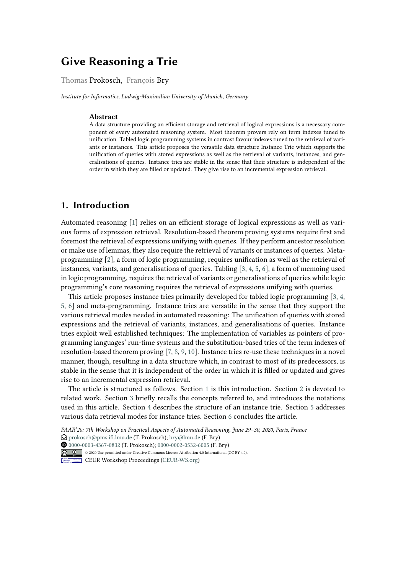# **Give Reasoning a Trie**

#### Thomas Prokosch, François Bry

*Institute for Informatics, Ludwig-Maximilian University of Munich, Germany*

#### **Abstract**

A data structure providing an efficient storage and retrieval of logical expressions is a necessary component of every automated reasoning system. Most theorem provers rely on term indexes tuned to unification. Tabled logic programming systems in contrast favour indexes tuned to the retrieval of variants or instances. This article proposes the versatile data structure Instance Trie which supports the unification of queries with stored expressions as well as the retrieval of variants, instances, and generalisations of queries. Instance tries are stable in the sense that their structure is independent of the order in which they are filled or updated. They give rise to an incremental expression retrieval.

# <span id="page-0-0"></span>**1. Introduction**

Automated reasoning [\[1\]](#page-14-0) relies on an efficient storage of logical expressions as well as various forms of expression retrieval. Resolution-based theorem proving systems require first and foremost the retrieval of expressions unifying with queries. If they perform ancestor resolution or make use of lemmas, they also require the retrieval of variants or instances of queries. Metaprogramming [\[2\]](#page-14-1), a form of logic programming, requires unification as well as the retrieval of instances, variants, and generalisations of queries. Tabling [\[3,](#page-14-2) [4,](#page-14-3) [5,](#page-14-4) [6\]](#page-14-5), a form of memoing used in logic programming, requires the retrieval of variants or generalisations of queries while logic programming's core reasoning requires the retrieval of expressions unifying with queries.

This article proposes instance tries primarily developed for tabled logic programming [\[3,](#page-14-2) [4,](#page-14-3) [5,](#page-14-4) [6\]](#page-14-5) and meta-programming. Instance tries are versatile in the sense that they support the various retrieval modes needed in automated reasoning: The unification of queries with stored expressions and the retrieval of variants, instances, and generalisations of queries. Instance tries exploit well established techniques: The implementation of variables as pointers of programming languages' run-time systems and the substitution-based tries of the term indexes of resolution-based theorem proving [\[7,](#page-14-6) [8,](#page-14-7) [9,](#page-14-8) [10\]](#page-14-9). Instance tries re-use these techniques in a novel manner, though, resulting in a data structure which, in contrast to most of its predecessors, is stable in the sense that it is independent of the order in which it is filled or updated and gives rise to an incremental expression retrieval.

The article is structured as follows. Section [1](#page-0-0) is this introduction. Section [2](#page-1-0) is devoted to related work. Section [3](#page-2-0) briefly recalls the concepts referred to, and introduces the notations used in this article. Section [4](#page-5-0) describes the structure of an instance trie. Section [5](#page-10-0) addresses various data retrieval modes for instance tries. Section [6](#page-13-0) concludes the article.

*PAAR'20: 7th Workshop on Practical Aspects of Automated Reasoning, June 29–30, 2020, Paris, France*

 $\bigcirc$  [prokosch@pms.ifi.lmu.de](mailto:prokosch@pms.ifi.lmu.de) (T. Prokosch); [bry@lmu.de](mailto:bry@lmu.de) (F. Bry)

Orcid [0000-0003-4367-0832](https://orcid.org/0000-0003-4367-0832) (T. Prokosch); [0000-0002-0532-6005](https://orcid.org/0000-0002-0532-6005) (F. Bry) © 2020 Use permitted under Creative Commons License Attribution 4.0 International (CC BY 4.0).

**CEUR Workshop [Proceedings](http://ceur-ws.org) [\(CEUR-WS.org\)](http://ceur-ws.org)**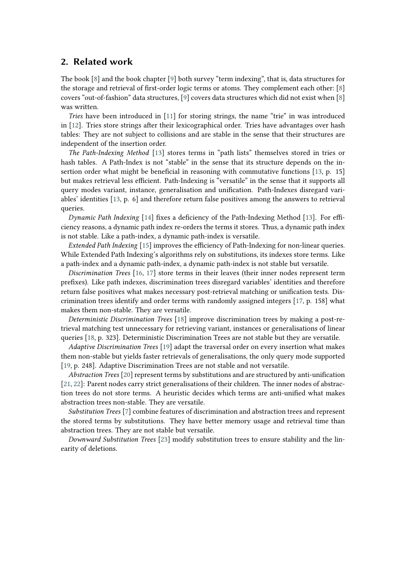### <span id="page-1-0"></span>**2. Related work**

The book [\[8\]](#page-14-7) and the book chapter [\[9\]](#page-14-8) both survey "term indexing", that is, data structures for the storage and retrieval of first-order logic terms or atoms. They complement each other: [\[8\]](#page-14-7) covers "out-of-fashion" data structures, [\[9\]](#page-14-8) covers data structures which did not exist when [\[8\]](#page-14-7) was written.

*Tries* have been introduced in [\[11\]](#page-14-10) for storing strings, the name "trie" in was introduced in [\[12\]](#page-14-11). Tries store strings after their lexicographical order. Tries have advantages over hash tables: They are not subject to collisions and are stable in the sense that their structures are independent of the insertion order.

*The Path-Indexing Method* [\[13\]](#page-14-12) stores terms in "path lists" themselves stored in tries or hash tables. A Path-Index is not "stable" in the sense that its structure depends on the insertion order what might be beneficial in reasoning with commutative functions [\[13,](#page-14-12) p. 15] but makes retrieval less efficient. Path-Indexing is "versatile" in the sense that it supports all query modes variant, instance, generalisation and unification. Path-Indexes disregard variables' identities [\[13,](#page-14-12) p. 6] and therefore return false positives among the answers to retrieval queries.

*Dynamic Path Indexing* [\[14\]](#page-14-13) fixes a deficiency of the Path-Indexing Method [\[13\]](#page-14-12). For efficiency reasons, a dynamic path index re-orders the terms it stores. Thus, a dynamic path index is not stable. Like a path-index, a dynamic path-index is versatile.

*Extended Path Indexing* [\[15\]](#page-14-14) improves the efficiency of Path-Indexing for non-linear queries. While Extended Path Indexing's algorithms rely on substitutions, its indexes store terms. Like a path-index and a dynamic path-index, a dynamic path-index is not stable but versatile.

*Discrimination Trees* [\[16,](#page-14-15) [17\]](#page-14-16) store terms in their leaves (their inner nodes represent term prefixes). Like path indexes, discrimination trees disregard variables' identities and therefore return false positives what makes necessary post-retrieval matching or unification tests. Discrimination trees identify and order terms with randomly assigned integers [\[17,](#page-14-16) p. 158] what makes them non-stable. They are versatile.

*Deterministic Discrimination Trees* [\[18\]](#page-15-0) improve discrimination trees by making a post-retrieval matching test unnecessary for retrieving variant, instances or generalisations of linear queries [\[18,](#page-15-0) p. 323]. Deterministic Discrimination Trees are not stable but they are versatile.

*Adaptive Discrimination Trees* [\[19\]](#page-15-1) adapt the traversal order on every insertion what makes them non-stable but yields faster retrievals of generalisations, the only query mode supported [\[19,](#page-15-1) p. 248]. Adaptive Discrimination Trees are not stable and not versatile.

*Abstraction Trees* [\[20\]](#page-15-2) represent terms by substitutions and are structured by anti-unification [\[21,](#page-15-3) [22\]](#page-15-4): Parent nodes carry strict generalisations of their children. The inner nodes of abstraction trees do not store terms. A heuristic decides which terms are anti-unified what makes abstraction trees non-stable. They are versatile.

*Substitution Trees* [\[7\]](#page-14-6) combine features of discrimination and abstraction trees and represent the stored terms by substitutions. They have better memory usage and retrieval time than abstraction trees. They are not stable but versatile.

*Downward Substitution Trees* [\[23\]](#page-15-5) modify substitution trees to ensure stability and the linearity of deletions.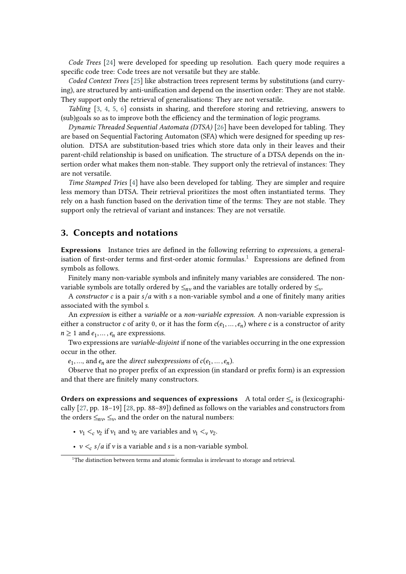*Code Trees* [\[24\]](#page-15-6) were developed for speeding up resolution. Each query mode requires a specific code tree: Code trees are not versatile but they are stable.

*Coded Context Trees* [\[25\]](#page-15-7) like abstraction trees represent terms by substitutions (and currying), are structured by anti-unification and depend on the insertion order: They are not stable. They support only the retrieval of generalisations: They are not versatile.

*Tabling* [\[3,](#page-14-2) [4,](#page-14-3) [5,](#page-14-4) [6\]](#page-14-5) consists in sharing, and therefore storing and retrieving, answers to (sub)goals so as to improve both the efficiency and the termination of logic programs.

*Dynamic Threaded Sequential Automata (DTSA)* [\[26\]](#page-15-8) have been developed for tabling. They are based on Sequential Factoring Automaton (SFA) which were designed for speeding up resolution. DTSA are substitution-based tries which store data only in their leaves and their parent-child relationship is based on unification. The structure of a DTSA depends on the insertion order what makes them non-stable. They support only the retrieval of instances: They are not versatile.

*Time Stamped Tries* [\[4\]](#page-14-3) have also been developed for tabling. They are simpler and require less memory than DTSA. Their retrieval prioritizes the most often instantiated terms. They rely on a hash function based on the derivation time of the terms: They are not stable. They support only the retrieval of variant and instances: They are not versatile.

#### <span id="page-2-0"></span>**3. Concepts and notations**

**Expressions** Instance tries are defined in the following referring to *expressions*, a general-isation of first-order terms and first-order atomic formulas.<sup>[1](#page-2-1)</sup> Expressions are defined from symbols as follows.

Finitely many non-variable symbols and infinitely many variables are considered. The nonvariable symbols are totally ordered by  $\leq_{nv}$  and the variables are totally ordered by  $\leq_v$ .

A *constructor*  $c$  is a pair  $s/a$  with  $s$  a non-variable symbol and  $a$  one of finitely many arities associated with the symbol .

An *expression* is either a *variable* or a *non-variable expression*. A non-variable expression is either a constructor c of arity 0, or it has the form  $c(e_1, ..., e_n)$  where c is a constructor of arity  $n \geq 1$  and  $e_1, \ldots, e_n$  are expressions.

Two expressions are *variable-disjoint* if none of the variables occurring in the one expression occur in the other.

 $e_1, ...,$  and  $e_n$  are the *direct subexpressions* of  $c(e_1, ..., e_n)$ .

Observe that no proper prefix of an expression (in standard or prefix form) is an expression and that there are finitely many constructors.

**Orders on expressions and sequences of expressions** A total order  $\leq_c$  is (lexicographically [\[27,](#page-15-9) pp. 18–19] [\[28,](#page-15-10) pp. 88–89]) defined as follows on the variables and constructors from the orders  $\leq_{nv}$ ,  $\leq_v$ , and the order on the natural numbers:

- $v_1 <_c v_2$  if  $v_1$  and  $v_2$  are variables and  $v_1 <_v v_2$ .
- $v <_{c} s/a$  if v is a variable and *s* is a non-variable symbol.

<span id="page-2-1"></span><sup>&</sup>lt;sup>1</sup>The distinction between terms and atomic formulas is irrelevant to storage and retrieval.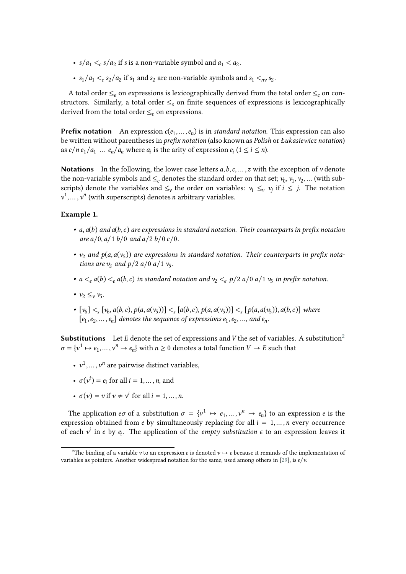- $s/a_1 < c s/a_2$  if *s* is a non-variable symbol and  $a_1 < a_2$ .
- $s_1/a_1 <_c s_2/a_2$  if  $s_1$  and  $s_2$  are non-variable symbols and  $s_1 <_{nv} s_2$ .

A total order  $\leq_e$  on expressions is lexicographically derived from the total order  $\leq_e$  on constructors. Similarly, a total order  $\leq_s$  on finite sequences of expressions is lexicographically derived from the total order  $\leq_e$  on expressions.

**Prefix notation** An expression  $c(e_1, \ldots, e_n)$  is in *standard notation*. This expression can also be written without parentheses in *prefix notation* (also known as *Polish* or *Łukasiewicz notation*) as  $c/n e_1/a_1 ... e_n/a_n$  where  $a_i$  is the arity of expression  $e_i$   $(1 \le i \le n)$ .

**Notations** In the following, the lower case letters  $a, b, c, \ldots, z$  with the exception of v denote the non-variable symbols and  $\leq_c$  denotes the standard order on that set;  $v_0, v_1, v_2, ...$  (with subscripts) denote the variables and  $\leq_{\nu}$  the order on variables:  $v_i \leq_{\nu} v_j$  if  $i \leq j$ . The notation  $v^1, \ldots, v^n$  (with superscripts) denotes *n* arbitrary variables.

#### **Example 1.**

- $a, a(b)$  and  $a(b, c)$  are expressions in standard notation. Their counterparts in prefix notation  $\int$ *are*  $a/0$ ,  $a/1$  *b*/0 and  $a/2$  *b*/0 *c*/0.
- $v_2$  and  $p(a, a(v_5))$  are expressions in standard notation. Their counterparts in prefix nota*tions are*  $v_2$  *and*  $p/2$  *a*/0 *a*/1  $v_5$ *.*
- $a \leq_e a(b) \leq_e a(b, c)$  in standard notation and  $v_2 \leq_e p/2$   $a/0$   $a/1$   $v_5$  in prefix notation.
- $\nu_2 \leq_\nu \nu_5$ .
- $[v_6] \leq s$   $[v_6, a(b, c), p(a, a(v_5))] \leq s$   $[a(b, c), p(a, a(v_5))] \leq s$   $[p(a, a(v_5)), a(b, c)]$  where  $[e_1, e_2, \ldots, e_n]$  denotes the sequence of expressions  $e_1, e_2, \ldots$ , and  $e_n$ .

**Substitutions** Let E denote the set of expressions and V the set of variables. A substitution<sup>[2](#page-3-0)</sup>  $\sigma = {\nu^1 \mapsto e_1, ..., \nu^n \mapsto e_n}$  with  $n \ge 0$  denotes a total function  $V \to E$  such that

- $v^1, \ldots, v^n$  are pairwise distinct variables,
- $\sigma(v^i) = e_i$  for all  $i = 1, ..., n$ , and
- $\sigma(v) = v$  if  $v \neq v^i$  for all  $i = 1, ..., n$ .

The application  $e\sigma$  of a substitution  $\sigma = \{v^1 \mapsto e_1, ..., v^n \mapsto e_n\}$  to an expression  $e$  is the expression obtained from e by simultaneously replacing for all  $i = 1, ..., n$  every occurrence of each  $v^i$  in *e* by  $e_i$ . The application of the *empty substitution*  $\epsilon$  to an expression leaves it

<span id="page-3-0"></span><sup>&</sup>lt;sup>2</sup>The binding of a variable v to an expression *e* is denoted  $v \mapsto e$  because it reminds of the implementation of variables as pointers. Another widespread notation for the same, used among others in [\[29\]](#page-15-11), is  $e/v$ .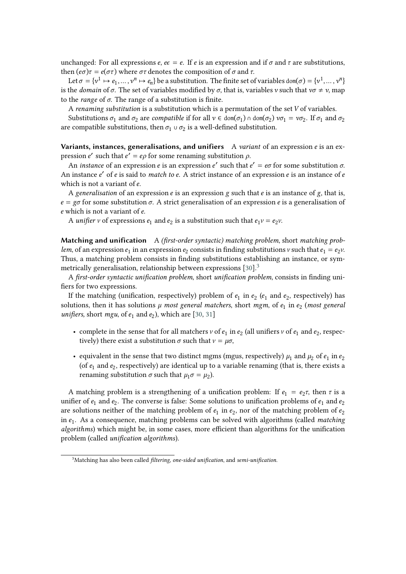unchanged: For all expressions  $e, ee = e$ . If e is an expression and if  $\sigma$  and  $\tau$  are substitutions, then  $(e\sigma)\tau = e(\sigma\tau)$  where  $\sigma\tau$  denotes the composition of  $\sigma$  and  $\tau$ .

Let  $\sigma = \{v^1 \mapsto e_1, \dots, v^n \mapsto e_n\}$  be a substitution. The finite set of variables dom $(\sigma) = \{v^1, \dots, v^n\}$ is the *domain* of  $\sigma$ . The set of variables modified by  $\sigma$ , that is, variables v such that  $v\sigma \neq v$ , map to the *range* of  $\sigma$ . The range of a substitution is finite.

A *renaming substitution* is a substitution which is a permutation of the set V of variables.

Substitutions  $\sigma_1$  and  $\sigma_2$  are *compatible* if for all  $v \in \text{dom}(\sigma_1) \cap \text{dom}(\sigma_2)$   $v\sigma_1 = v\sigma_2$ . If  $\sigma_1$  and  $\sigma_2$ are compatible substitutions, then  $\sigma_1 \cup \sigma_2$  is a well-defined substitution.

**Variants, instances, generalisations, and unifiers** A *variant* of an expression *e* is an expression e' such that  $e' = e\rho$  for some renaming substitution  $\rho$ .

An *instance* of an expression *e* is an expression *e'* such that  $e' = e\sigma$  for some substitution  $\sigma$ . An instance e' of e is said to *match to e*. A strict instance of an expression e is an instance of e which is not a variant of  $e$ .

A *generalisation* of an expression *e* is an expression *g* such that *e* is an instance of *g*, that is,  $e = g\sigma$  for some substitution  $\sigma$ . A strict generalisation of an expression *e* is a generalisation of e which is not a variant of e.

A *unifier*  $\nu$  of expressions  $e_1$  and  $e_2$  is a substitution such that  $e_1 \nu = e_2 \nu$ .

**Matching and unification** A *(first-order syntactic) matching problem*, short *matching problem*, of an expression  $e_1$  in an expression  $e_2$  consists in finding substitutions  $v$  such that  $e_1 = e_2 v$ . Thus, a matching problem consists in finding substitutions establishing an instance, or symmetrically generalisation, relationship between expressions  $[30]$  $[30]$  $[30]$ <sup>3</sup>

A *first-order syntactic unification problem*, short *unification problem*, consists in finding unifiers for two expressions.

If the matching (unification, respectively) problem of  $e_1$  in  $e_2$  ( $e_1$  and  $e_2$ , respectively) has solutions, then it has solutions  $\mu$  most general matchers, short mgm, of  $e_1$  in  $e_2$  (most general unifiers, short  $mgu$ , of  $e_1$  and  $e_2$ ), which are [\[30,](#page-15-12) [31\]](#page-15-13)

- complete in the sense that for all matchers  $v$  of  $e_1$  in  $e_2$  (all unifiers  $v$  of  $e_1$  and  $e_2$ , respectively) there exist a substitution  $\sigma$  such that  $v = \mu \sigma$ ,
- equivalent in the sense that two distinct mgms (mgus, respectively)  $\mu_1$  and  $\mu_2$  of  $e_1$  in  $e_2$ (of  $e_1$  and  $e_2$ , respectively) are identical up to a variable renaming (that is, there exists a renaming substitution  $\sigma$  such that  $\mu_1 \sigma = \mu_2$ ).

A matching problem is a strengthening of a unification problem: If  $e_1 = e_2 \tau$ , then  $\tau$  is a unifier of  $e_1$  and  $e_2$ . The converse is false: Some solutions to unification problems of  $e_1$  and  $e_2$ are solutions neither of the matching problem of  $e_1$  in  $e_2$ , nor of the matching problem of  $e_2$ in  $e_1$ . As a consequence, matching problems can be solved with algorithms (called *matching algorithms*) which might be, in some cases, more efficient than algorithms for the unification problem (called *unification algorithms*).

<span id="page-4-0"></span><sup>3</sup>Matching has also been called *filtering*, *one-sided unification*, and *semi-unification.*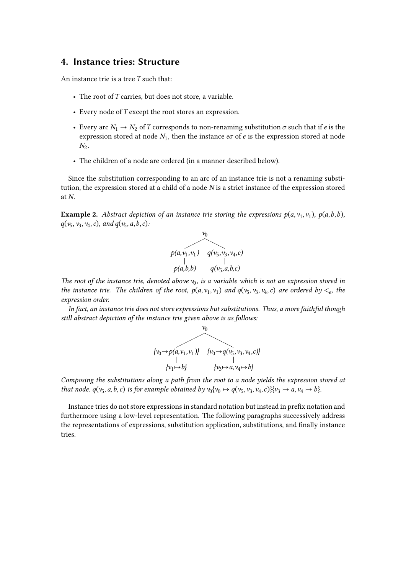### <span id="page-5-0"></span>**4. Instance tries: Structure**

An instance trie is a tree  $T$  such that:

- The root of  $T$  carries, but does not store, a variable.
- Every node of  $T$  except the root stores an expression.
- Every arc  $N_1 \rightarrow N_2$  of T corresponds to non-renaming substitution  $\sigma$  such that if *e* is the expression stored at node  $N_1$ , then the instance  $e\sigma$  of  $e$  is the expression stored at node  $N_2$ .
- The children of a node are ordered (in a manner described below).

Since the substitution corresponding to an arc of an instance trie is not a renaming substitution, the expression stored at a child of a node  $N$  is a strict instance of the expression stored at  $N$ .

**Example 2.** Abstract depiction of an instance trie storing the expressions  $p(a, v_1, v_1)$ ,  $p(a, b, b)$ ,  $q(v_5, v_3, v_4, c)$ , and  $q(v_5, a, b, c)$ :



The root of the instance trie, denoted above  $v_0$ , is a variable which is not an expression stored in *the instance trie. The children of the root,*  $p(a, v_1, v_1)$  *and*  $q(v_5, v_3, v_4, c)$  *are ordered by*  $\lt_e$ *, the expression order.*

*In fact, an instance trie does not store expressions but substitutions. Thus, a more faithful though still abstract depiction of the instance trie given above is as follows:*



*Composing the substitutions along a path from the root to a node yields the expression stored at that node.*  $q(v_5, a, b, c)$  *is for example obtained by*  $v_0\{v_0 \mapsto q(v_5, v_3, v_4, c)\}\{v_3 \mapsto a, v_4 \mapsto b\}$ *.* 

Instance tries do not store expressions in standard notation but instead in prefix notation and furthermore using a low-level representation. The following paragraphs successively address the representations of expressions, substitution application, substitutions, and finally instance tries.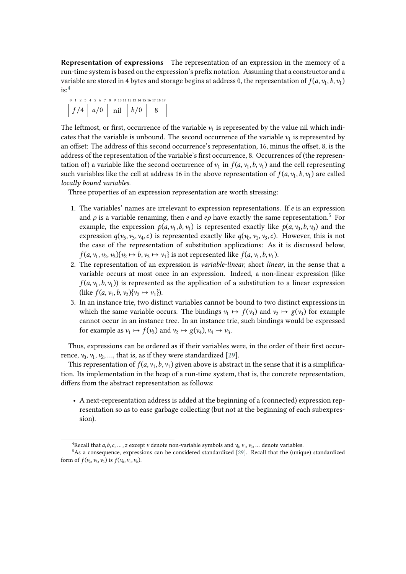**Representation of expressions** The representation of an expression in the memory of a run-time system is based on the expression's prefix notation. Assuming that a constructor and a variable are stored in 4 bytes and storage begins at address 0, the representation of  $f(a, v_1, b, v_1)$  $is:$ <sup>[4](#page-6-0)</sup>

|  |  |  |     |  |  |                        | 0 1 2 3 4 5 6 7 8 9 10 11 12 13 14 15 16 17 18 19 |  |
|--|--|--|-----|--|--|------------------------|---------------------------------------------------|--|
|  |  |  | a/0 |  |  | $\overline{n}$   $h/0$ |                                                   |  |

The leftmost, or first, occurrence of the variable  $v_1$  is represented by the value nil which indicates that the variable is unbound. The second occurrence of the variable  $v_1$  is represented by an offset: The address of this second occurrence's representation, 16, minus the offset, 8, is the address of the representation of the variable's first occurrence, 8. Occurrences of (the representation of) a variable like the second occurrence of  $v_1$  in  $f(a, v_1, b, v_1)$  and the cell representing such variables like the cell at address 16 in the above representation of  $f(a, v_1, b, v_1)$  are called *locally bound variables.*

Three properties of an expression representation are worth stressing:

- 1. The variables' names are irrelevant to expression representations. If  $e$  is an expression and  $\rho$  is a variable renaming, then  $e$  and  $e\rho$  have exactly the same representation.<sup>[5](#page-6-1)</sup> For example, the expression  $p(a, v_1, b, v_1)$  is represented exactly like  $p(a, v_0, b, v_0)$  and the expression  $q(v_5, v_3, v_4, c)$  is represented exactly like  $q(v_0, v_1, v_3, c)$ . However, this is not the case of the representation of substitution applications: As it is discussed below,  $f(a, v_1, v_2, v_3)\{v_2 \mapsto b, v_3 \mapsto v_1\}$  is not represented like  $f(a, v_1, b, v_1)$ .
- 2. The representation of an expression is *variable-linear*, short *linear*, in the sense that a variable occurs at most once in an expression. Indeed, a non-linear expression (like  $f(a, v_1, b, v_1)$  is represented as the application of a substitution to a linear expression (like  $f(a, v_1, b, v_2) \{v_2 \mapsto v_1\}$ ).
- 3. In an instance trie, two distinct variables cannot be bound to two distinct expressions in which the same variable occurs. The bindings  $v_1 \mapsto f(v_3)$  and  $v_2 \mapsto g(v_3)$  for example cannot occur in an instance tree. In an instance trie, such bindings would be expressed for example as  $v_1 \mapsto f(v_3)$  and  $v_2 \mapsto g(v_4), v_4 \mapsto v_3$ .

Thus, expressions can be ordered as if their variables were, in the order of their first occurrence,  $v_0$ ,  $v_1$ ,  $v_2$ , ..., that is, as if they were standardized [\[29\]](#page-15-11).

This representation of  $f(a, v_1, b, v_1)$  given above is abstract in the sense that it is a simplification. Its implementation in the heap of a run-time system, that is, the concrete representation, differs from the abstract representation as follows:

• A next-representation address is added at the beginning of a (connected) expression representation so as to ease garbage collecting (but not at the beginning of each subexpression).

<span id="page-6-1"></span><span id="page-6-0"></span><sup>&</sup>lt;sup>4</sup>Recall that  $a, b, c, ..., z$  except v denote non-variable symbols and  $v_0, v_1, v_2, ...$  denote variables.

 $5$ As a consequence, expressions can be considered standardized [\[29\]](#page-15-11). Recall that the (unique) standardized form of  $f(v_2, v_5, v_2)$  is  $f(v_0, v_1, v_0)$ .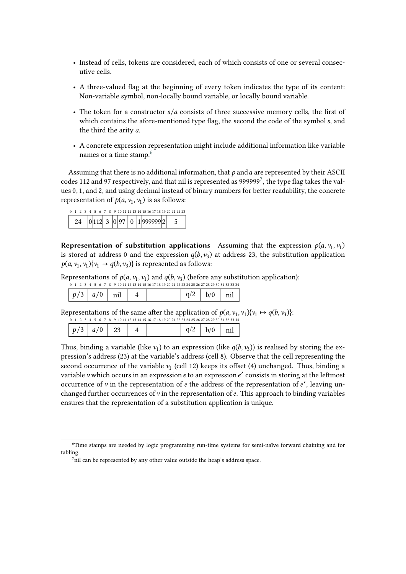- Instead of cells, tokens are considered, each of which consists of one or several consecutive cells.
- A three-valued flag at the beginning of every token indicates the type of its content: Non-variable symbol, non-locally bound variable, or locally bound variable.
- The token for a constructor  $s/a$  consists of three successive memory cells, the first of which contains the afore-mentioned type flag, the second the code of the symbol s, and the third the arity a.
- A concrete expression representation might include additional information like variable names or a time stamp.<sup>[6](#page-7-0)</sup>

Assuming that there is no additional information, that  $p$  and  $q$  are represented by their ASCII codes 112 and 9[7](#page-7-1) respectively, and that nil is represented as 999999<sup>7</sup>, the type flag takes the values 0, 1, and 2, and using decimal instead of binary numbers for better readability, the concrete representation of  $p(a, v_1, v_1)$  is as follows:

| 0 1 2 3 4 5 6 7 8 9 10 11 12 13 14 15 16 17 18 19 20 21 22 23 |  |  |  |  |                                           |  |  |  |  |  |  |  |
|---------------------------------------------------------------|--|--|--|--|-------------------------------------------|--|--|--|--|--|--|--|
|                                                               |  |  |  |  | 24 $ 0 112 $ 3 $ 0 97 $ 0 $ 1 999999 2$ 5 |  |  |  |  |  |  |  |

**Representation of substitution applications** Assuming that the expression  $p(a, v_1, v_1)$ is stored at address 0 and the expression  $q(b, v_3)$  at address 23, the substitution application  $p(a, v_1, v_1) \{v_1 \mapsto q(b, v_3)\}$  is represented as follows:

Representations of  $p(a, v_1, v_1)$  and  $q(b, v_3)$  (before any substitution application):

|  |  |  |  |  |  |  |  |  |  |  |  |  |  | 4 5 6 7 8 9 10 11 12 13 14 15 16 17 18 19 20 21 22 23 24 25 26 27 28 29 30 31 32 33 34 |  |
|--|--|--|--|--|--|--|--|--|--|--|--|--|--|----------------------------------------------------------------------------------------|--|
|  |  |  |  |  |  |  |  |  |  |  |  |  |  |                                                                                        |  |

Representations of the same after the application of  $p(a, v_1, v_1) \{v_1 \mapsto q(b, v_3)\}$ :

|                             |  | 0 1 2 3 4 5 6 7 8 9 10 11 12 13 14 15 16 17 18 19 20 21 22 23 24 25 26 27 28 29 30 31 32 33 34 |            |  |
|-----------------------------|--|------------------------------------------------------------------------------------------------|------------|--|
| $\mid p/3 \mid a/0 \mid 23$ |  |                                                                                                | $h/\Omega$ |  |

Thus, binding a variable (like  $v_1$ ) to an expression (like  $q(b, v_3)$ ) is realised by storing the expression's address (23) at the variable's address (cell 8). Observe that the cell representing the second occurrence of the variable  $v_1$  (cell 12) keeps its offset (4) unchanged. Thus, binding a variable v which occurs in an expression  $e$  to an expression  $e'$  consists in storing at the leftmost occurrence of v in the representation of  $e$  the address of the representation of  $e'$ , leaving unchanged further occurrences of  $\nu$  in the representation of  $e$ . This approach to binding variables ensures that the representation of a substitution application is unique.

<span id="page-7-0"></span><sup>6</sup>Time stamps are needed by logic programming run-time systems for semi-naïve forward chaining and for tabling.

<span id="page-7-1"></span> $^{7}$ nil can be represented by any other value outside the heap's address space.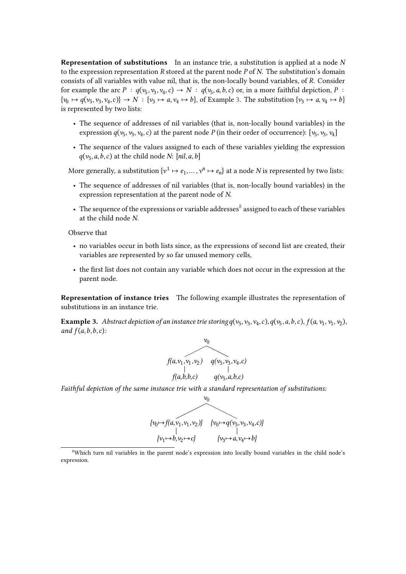**Representation of substitutions** In an instance trie, a substitution is applied at a node N to the expression representation  $R$  stored at the parent node  $P$  of  $N$ . The substitution's domain consists of all variables with value nil, that is, the non-locally bound variables, of R. Consider for example the arc  $P: q(v_5, v_3, v_4, c) \to N: q(v_5, a, b, c)$  or, in a more faithful depiction,  $P:$  $\{v_0 \mapsto q(v_5, v_3, v_4, c)\} \to N : \{v_3 \mapsto a, v_4 \mapsto b\}$ , of Example [3.](#page-8-0) The substitution  $\{v_3 \mapsto a, v_4 \mapsto b\}$ is represented by two lists:

- The sequence of addresses of nil variables (that is, non-locally bound variables) in the expression  $q(v_5, v_3, v_4, c)$  at the parent node  $P$  (in their order of occurrence):  $[v_5, v_3, v_4]$
- The sequence of the values assigned to each of these variables yielding the expression  $q(v_5, a, b, c)$  at the child node *N*: [*nil*, *a*, *b*]

More generally, a substitution  $\{v^1 \mapsto e_1, \dots, v^n \mapsto e_n\}$  at a node N is represented by two lists:

- The sequence of addresses of nil variables (that is, non-locally bound variables) in the expression representation at the parent node of  $N$ .
- The sequence of the expressions or variable addresses $^8$  $^8$  assigned to each of these variables at the child node  $N$ .

Observe that

- no variables occur in both lists since, as the expressions of second list are created, their variables are represented by so far unused memory cells,
- the first list does not contain any variable which does not occur in the expression at the parent node.

**Representation of instance tries** The following example illustrates the representation of substitutions in an instance trie.

<span id="page-8-0"></span>**Example 3.** Abstract depiction of an instance trie storing  $q(v_5, v_3, v_4, c)$ ,  $q(v_5, a, b, c)$ ,  $f(a, v_1, v_1, v_2)$ , *and*  $f(a, b, b, c)$ *:* 



*Faithful depiction of the same instance trie with a standard representation of substitutions:*



<span id="page-8-1"></span><sup>8</sup>Which turn nil variables in the parent node's expression into locally bound variables in the child node's expression.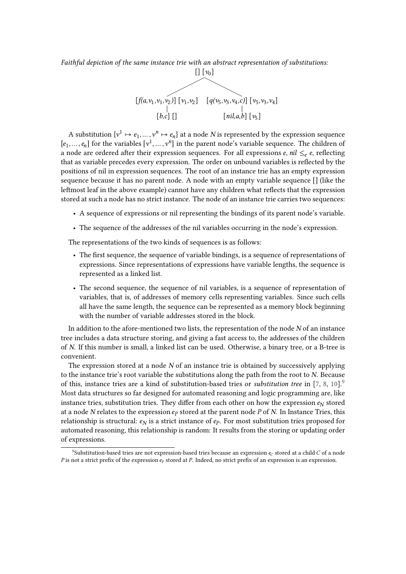*Faithful depiction of the same instance trie with an abstract representation of substitutions:*



A substitution  $\{v^1 \mapsto e_1, \dots, v^n \mapsto e_n\}$  at a node N is represented by the expression sequence  $[e_1, \ldots, e_n]$  for the variables  $[v^1, \ldots, v^n]$  in the parent node's variable sequence. The children of a node are ordered after their expression sequences. For all expressions  $e$ ,  $nil \leq_e e$ , reflecting that as variable precedes every expression. The order on unbound variables is reflected by the positions of nil in expression sequences. The root of an instance trie has an empty expression sequence because it has no parent node. A node with an empty variable sequence [] (like the leftmost leaf in the above example) cannot have any children what reflects that the expression stored at such a node has no strict instance. The node of an instance trie carries two sequences:

- A sequence of expressions or nil representing the bindings of its parent node's variable.
- The sequence of the addresses of the nil variables occurring in the node's expression.

The representations of the two kinds of sequences is as follows:

- The first sequence, the sequence of variable bindings, is a sequence of representations of expressions. Since representations of expressions have variable lengths, the sequence is represented as a linked list.
- The second sequence, the sequence of nil variables, is a sequence of representation of variables, that is, of addresses of memory cells representing variables. Since such cells all have the same length, the sequence can be represented as a memory block beginning with the number of variable addresses stored in the block.

In addition to the afore-mentioned two lists, the representation of the node  $N$  of an instance tree includes a data structure storing, and giving a fast access to, the addresses of the children of N. If this number is small, a linked list can be used. Otherwise, a binary tree, or a B-tree is convenient.

The expression stored at a node  $N$  of an instance trie is obtained by successively applying to the instance trie's root variable the substitutions along the path from the root to  $N$ . Because of this, instance tries are a kind of substitution-based tries or *substitution tree* in [\[7,](#page-14-6) [8,](#page-14-7) [10\]](#page-14-9).[9](#page-9-0) Most data structures so far designed for automated reasoning and logic programming are, like instance tries, substitution tries. They differ from each other on how the expression  $e_N$  stored at a node  $N$  relates to the expression  $e_P$  stored at the parent node  $P$  of  $N$ . In Instance Tries, this relationship is structural:  $e_N$  is a strict instance of  $e_P$ . For most substitution tries proposed for automated reasoning, this relationship is random: It results from the storing or updating order of expressions.

<span id="page-9-0"></span> $^9$ Substitution-based tries are not expression-based tries because an expression  $e_C$ stored at a child $C$ of a node P is not a strict prefix of the expression  $e_p$  stored at P. Indeed, no strict prefix of an expression is an expression.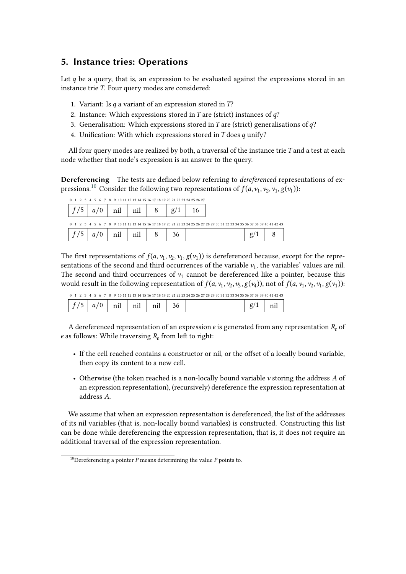# <span id="page-10-0"></span>**5. Instance tries: Operations**

Let  $q$  be a query, that is, an expression to be evaluated against the expressions stored in an instance trie  $T$ . Four query modes are considered:

- 1. Variant: Is  $q$  a variant of an expression stored in  $T$ ?
- 2. Instance: Which expressions stored in  $T$  are (strict) instances of  $q$ ?
- 3. Generalisation: Which expressions stored in T are (strict) generalisations of  $q$ ?
- 4. Unification: With which expressions stored in  $T$  does  $q$  unify?

All four query modes are realized by both, a traversal of the instance trie  $T$  and a test at each node whether that node's expression is an answer to the query.

**Dereferencing** The tests are defined below referring to *dereferenced* representations of expressions. $^{10}$  $^{10}$  $^{10}$  Consider the following two representations of  $f(a, \nu_1, \nu_2, \nu_1, g(\nu_1))$ :

| 0 1 2 3 4 5 6 7 8 9 10 11 12 13 14 15 16 17 18 19 20 21 22 23 24 25 26 27 |     |     |              |                                                                                                                           |   |  |
|---------------------------------------------------------------------------|-----|-----|--------------|---------------------------------------------------------------------------------------------------------------------------|---|--|
| a/0                                                                       | nil | nil | $g_{\prime}$ |                                                                                                                           |   |  |
|                                                                           |     |     |              | 0 1 2 3 4 5 6 7 8 9 10 11 12 13 14 15 16 17 18 19 20 21 22 23 24 25 26 27 28 29 30 31 32 33 34 35 36 37 38 39 40 41 42 43 |   |  |
| a/0                                                                       | nil | nil | 36           |                                                                                                                           | g |  |

The first representations of  $f(a, v_1, v_2, v_1, g(v_1))$  is dereferenced because, except for the representations of the second and third occurrences of the variable  $v_1$ , the variables' values are nil. The second and third occurrences of  $v_1$  cannot be dereferenced like a pointer, because this would result in the following representation of  $f(a, v_1, v_2, v_3, g(v_4))$ , not of  $f(a, v_1, v_2, v_1, g(v_1))$ :

| 0 1 2 3 4 5 6 7 8 9 10 11 12 13 14 15 16 17 18 19 20 21 22 23 24 25 26 27 28 29 30 31 32 33 34 35 36 37 38 39 40 41 42 43 |  |
|---------------------------------------------------------------------------------------------------------------------------|--|
|---------------------------------------------------------------------------------------------------------------------------|--|

| $\sim$ $\sim$<br>$\sim$ $-$<br>$\overline{\phantom{a}}$<br><br><br>--<br>----<br>----<br>-------- |  | <br>---- |  |
|---------------------------------------------------------------------------------------------------|--|----------|--|
|---------------------------------------------------------------------------------------------------|--|----------|--|

A dereferenced representation of an expression  $e$  is generated from any representation  $R_e$  of *e* as follows: While traversing  $R_e$  from left to right:

- If the cell reached contains a constructor or nil, or the offset of a locally bound variable, then copy its content to a new cell.
- Otherwise (the token reached is a non-locally bound variable  $\nu$  storing the address A of an expression representation), (recursively) dereference the expression representation at address A.

We assume that when an expression representation is dereferenced, the list of the addresses of its nil variables (that is, non-locally bound variables) is constructed. Constructing this list can be done while dereferencing the expression representation, that is, it does not require an additional traversal of the expression representation.

<span id="page-10-1"></span><sup>&</sup>lt;sup>10</sup>Dereferencing a pointer  $P$  means determining the value  $P$  points to.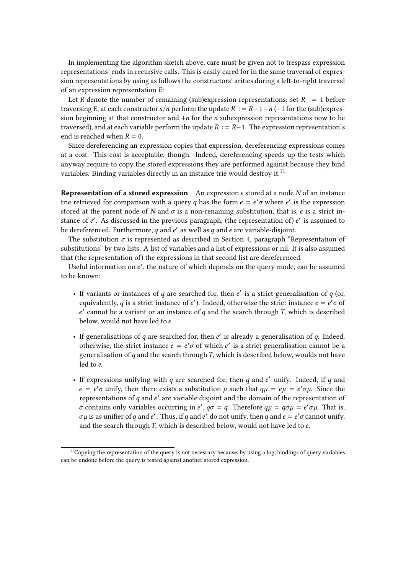In implementing the algorithm sketch above, care must be given not to trespass expression representations' ends in recursive calls. This is easily cared for in the same traversal of expression representations by using as follows the constructors' arities during a left-to-right traversal of an expression representation  $E$ :

Let R denote the number of remaining (sub)expression representations; set  $R := 1$  before traversing E, at each constructor  $s/n$  perform the update  $R := R - 1 + n(-1)$  for the (sub)expression beginning at that constructor and  $+n$  for the *n* subexpression representations now to be traversed), and at each variable perform the update  $R := R-1$ . The expression representation's end is reached when  $R = 0$ .

Since dereferencing an expression copies that expression, dereferencing expressions comes at a cost. This cost is acceptable, though. Indeed, dereferencing speeds up the tests which anyway require to copy the stored expressions they are performed against because they bind variables. Binding variables directly in an instance trie would destroy it.<sup>[11](#page-11-0)</sup>

**Representation of a stored expression** An expression *e* stored at a node *N* of an instance trie retrieved for comparison with a query q has the form  $e = e' \sigma$  where e' is the expression stored at the parent node of N and  $\sigma$  is a non-renaming substitution, that is, e is a strict instance of e'. As discussed in the previous paragraph, (the representation of) e' is assumed to be dereferenced. Furthermore,  $q$  and  $e'$  as well as  $q$  and  $e$  are variable-disjoint.

The substitution  $\sigma$  is represented as described in Section [4,](#page-5-0) paragraph "Representation of substitutions" by two lists: A list of variables and a list of expressions or nil. It is also assumed that (the representation of) the expressions in that second list are dereferenced.

Useful information on e', the nature of which depends on the query mode, can be assumed to be known:

- If variants or instances of  $q$  are searched for, then  $e'$  is a strict generalisation of  $q$  (or, equivalently, q is a strict instance of e'). Indeed, otherwise the strict instance  $e = e' \sigma$  of  $e'$  cannot be a variant or an instance of  $q$  and the search through T, which is described below, would not have led to  $e$ .
- If generalisations of  $q$  are searched for, then  $e'$  is already a generalisation of  $q$ . Indeed, otherwise, the strict instance  $e = e' \sigma$  of which  $e'$  is a strict generalisation cannot be a generalisation of  $q$  and the search through  $T$ , which is described below, woulds not have  $led to e$
- If expressions unifying with  $q$  are searched for, then  $q$  and  $e'$  unify. Indeed, if  $q$  and  $e = e' \sigma$  unify, then there exists a substitution  $\mu$  such that  $q\mu = e\mu = e' \sigma \mu$ . Since the representations of  $q$  and  $e'$  are variable disjoint and the domain of the representation of  $\sigma$  contains only variables occurring in e',  $q\sigma = q$ . Therefore  $q\mu = q\sigma\mu = e'\sigma\mu$ . That is,  $\sigma\mu$  is as unifier of  $q$  and  $e'$  . Thus, if  $q$  and  $e'$  do not unify, then  $q$  and  $e=e'\sigma$  cannot unify, and the search through  $T$ , which is described below, would not have led to  $e$ .

<span id="page-11-0"></span> $11$ Copying the representation of the query is not necessary because, by using a log, bindings of query variables can be undone before the query is tested against another stored expression.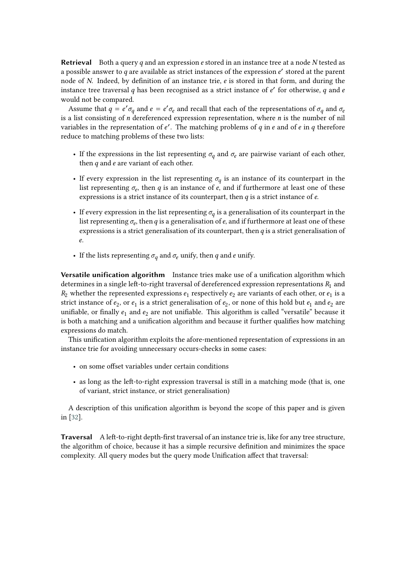**Retrieval** Both a query q and an expression e stored in an instance tree at a node N tested as a possible answer to  $q$  are available as strict instances of the expression  $e'$  stored at the parent node of N. Indeed, by definition of an instance trie,  $e$  is stored in that form, and during the instance tree traversal  $q$  has been recognised as a strict instance of  $e'$  for otherwise,  $q$  and  $e$ would not be compared.

Assume that  $q = e' \sigma_q$  and  $e = e' \sigma_e$  and recall that each of the representations of  $\sigma_q$  and  $\sigma_e$ is a list consisting of  $n$  dereferenced expression representation, where  $n$  is the number of nil variables in the representation of  $e'$ . The matching problems of  $q$  in  $e$  and of  $e$  in  $q$  therefore reduce to matching problems of these two lists:

- If the expressions in the list representing  $\sigma_q$  and  $\sigma_e$  are pairwise variant of each other, then  $q$  and  $e$  are variant of each other.
- If every expression in the list representing  $\sigma_q$  is an instance of its counterpart in the list representing  $\sigma_e$ , then  $q$  is an instance of  $e$ , and if furthermore at least one of these expressions is a strict instance of its counterpart, then  $q$  is a strict instance of  $e$ .
- If every expression in the list representing  $\sigma_q$  is a generalisation of its counterpart in the list representing  $\sigma_e$ , then  $q$  is a generalisation of  $e$ , and if furthermore at least one of these expressions is a strict generalisation of its counterpart, then  $q$  is a strict generalisation of .
- If the lists representing  $\sigma_q$  and  $\sigma_e$  unify, then q and e unify.

**Versatile unification algorithm** Instance tries make use of a unification algorithm which determines in a single left-to-right traversal of dereferenced expression representations  $R_1$  and  $R_2$  whether the represented expressions  $e_1$  respectively  $e_2$  are variants of each other, or  $e_1$  is a strict instance of  $e_2$ , or  $e_1$  is a strict generalisation of  $e_2$ , or none of this hold but  $e_1$  and  $e_2$  are unifiable, or finally  $e_1$  and  $e_2$  are not unifiable. This algorithm is called "versatile" because it is both a matching and a unification algorithm and because it further qualifies how matching expressions do match.

This unification algorithm exploits the afore-mentioned representation of expressions in an instance trie for avoiding unnecessary occurs-checks in some cases:

- on some offset variables under certain conditions
- as long as the left-to-right expression traversal is still in a matching mode (that is, one of variant, strict instance, or strict generalisation)

A description of this unification algorithm is beyond the scope of this paper and is given in [\[32\]](#page-15-14).

**Traversal** A left-to-right depth-first traversal of an instance trie is, like for any tree structure, the algorithm of choice, because it has a simple recursive definition and minimizes the space complexity. All query modes but the query mode Unification affect that traversal: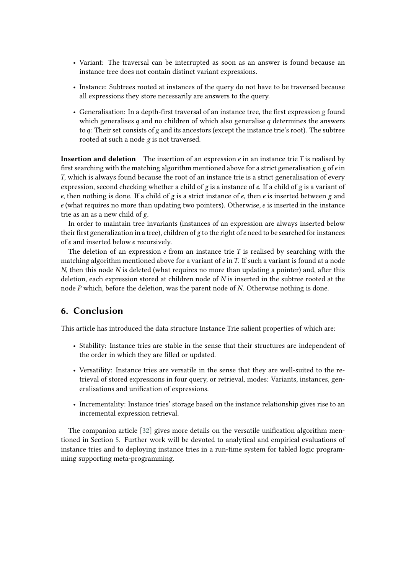- Variant: The traversal can be interrupted as soon as an answer is found because an instance tree does not contain distinct variant expressions.
- Instance: Subtrees rooted at instances of the query do not have to be traversed because all expressions they store necessarily are answers to the query.
- Generalisation: In a depth-first traversal of an instance tree, the first expression g found which generalises  $q$  and no children of which also generalise  $q$  determines the answers to  $q$ : Their set consists of  $g$  and its ancestors (except the instance trie's root). The subtree rooted at such a node g is not traversed.

**Insertion and deletion** The insertion of an expression  $e$  in an instance trie  $T$  is realised by first searching with the matching algorithm mentioned above for a strict generalisation  $g$  of  $e$  in T, which is always found because the root of an instance trie is a strict generalisation of every expression, second checking whether a child of  $g$  is a instance of  $e$ . If a child of  $g$  is a variant of  $e$ , then nothing is done. If a child of  $g$  is a strict instance of  $e$ , then  $e$  is inserted between  $g$  and  $e$  (what requires no more than updating two pointers). Otherwise,  $e$  is inserted in the instance trie as an as a new child of g.

In order to maintain tree invariants (instances of an expression are always inserted below their first generalization in a tree), children of  $g$  to the right of  $e$  need to be searched for instances of  $e$  and inserted below  $e$  recursively.

The deletion of an expression  $e$  from an instance trie  $T$  is realised by searching with the matching algorithm mentioned above for a variant of  $e$  in  $T$ . If such a variant is found at a node  $N$ , then this node  $N$  is deleted (what requires no more than updating a pointer) and, after this deletion, each expression stored at children node of  $N$  is inserted in the subtree rooted at the node  $P$  which, before the deletion, was the parent node of  $N$ . Otherwise nothing is done.

# <span id="page-13-0"></span>**6. Conclusion**

This article has introduced the data structure Instance Trie salient properties of which are:

- Stability: Instance tries are stable in the sense that their structures are independent of the order in which they are filled or updated.
- Versatility: Instance tries are versatile in the sense that they are well-suited to the retrieval of stored expressions in four query, or retrieval, modes: Variants, instances, generalisations and unification of expressions.
- Incrementality: Instance tries' storage based on the instance relationship gives rise to an incremental expression retrieval.

The companion article [\[32\]](#page-15-14) gives more details on the versatile unification algorithm mentioned in Section [5.](#page-10-0) Further work will be devoted to analytical and empirical evaluations of instance tries and to deploying instance tries in a run-time system for tabled logic programming supporting meta-programming.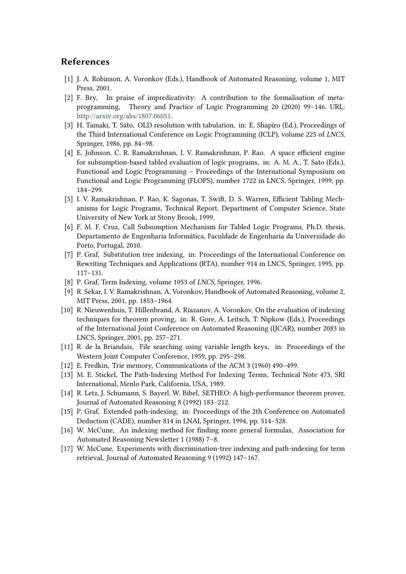## **References**

- <span id="page-14-0"></span>[1] J. A. Robinson, A. Voronkov (Eds.), Handbook of Automated Reasoning, volume 1, MIT Press, 2001.
- <span id="page-14-1"></span>[2] F. Bry, In praise of impredicativity: A contribution to the formalisation of metaprogramming, Theory and Practice of Logic Programming 20 (2020) 99–146. URL: [http://arxiv.org/abs/1807.06051.](http://arxiv.org/abs/1807.06051)
- <span id="page-14-2"></span>[3] H. Tamaki, T. Sato, OLD resolution with tabulation, in: E. Shapiro (Ed.), Proceedings of the Third International Conference on Logic Programming (ICLP), volume 225 of *LNCS*, Springer, 1986, pp. 84–98.
- <span id="page-14-3"></span>[4] E. Johnson, C. R. Ramakrishnan, I. V. Ramakrishnan, P. Rao, A space efficient engine for subsumption-based tabled evaluation of logic programs, in: A. M. A., T. Sato (Eds.), Functional and Logic Programming – Proceedings of the International Symposium on Functional and Logic Programming (FLOPS), number 1722 in LNCS, Springer, 1999, pp. 184–299.
- <span id="page-14-4"></span>[5] I. V. Ramakrishnan, P. Rao, K. Sagonas, T. Swift, D. S. Warren, Efficient Tabling Mechanisms for Logic Programs, Technical Report, Department of Computer Science, State University of New York at Stony Brook, 1999.
- <span id="page-14-5"></span>[6] F. M. F. Cruz, Call Subsumption Mechanism for Tabled Logic Programs, Ph.D. thesis, Departamento de Engenharia Informática, Faculdade de Engenharia da Universidade do Porto, Portugal, 2010.
- <span id="page-14-6"></span>[7] P. Graf, Substitution tree indexing, in: Proceedings of the International Conference on Rewriting Techniques and Applications (RTA), number 914 in LNCS, Springer, 1995, pp. 117–131.
- <span id="page-14-7"></span>[8] P. Graf, Term Indexing, volume 1053 of *LNCS*, Springer, 1996.
- <span id="page-14-8"></span>[9] R. Sekar, I. V. Ramakrishnan, A. Voronkov, Handbook of Automated Reasoning, volume 2, MIT Press, 2001, pp. 1853–1964.
- <span id="page-14-9"></span>[10] R. Nieuwenhuis, T. Hillenbrand, A. Riazanov, A. Voronkov, On the evaluation of indexing techniques for theorem proving, in: R. Gore, A. Leitsch, T. Nipkow (Eds.), Proceedings of the International Joint Conference on Automated Reasoning (IJCAR), number 2083 in LNCS, Springer, 2001, pp. 257–271.
- <span id="page-14-10"></span>[11] R. de la Briandais, File searching using variable length keys, in: Proceedings of the Western Joint Computer Conference, 1959, pp. 295–298.
- <span id="page-14-11"></span>[12] E. Fredkin, Trie memory, Communications of the ACM 3 (1960) 490–499.
- <span id="page-14-12"></span>[13] M. E. Stickel, The Path-Indexing Method For Indexing Terms, Technical Note 473, SRI International, Menlo Park, California, USA, 1989.
- <span id="page-14-13"></span>[14] R. Letz, J. Schumann, S. Bayerl, W. Bibel, SETHEO: A high-performance theorem prover, Journal of Automated Reasoning 8 (1992) 183–212.
- <span id="page-14-14"></span>[15] P. Graf, Extended path-indexing, in: Proceedings of the 2th Conference on Automated Deduction (CADE), number 814 in LNAI, Springer, 1994, pp. 514–528.
- <span id="page-14-15"></span>[16] W. McCune, An indexing method for finding more general formulas, Association for Automated Reasoning Newsletter 1 (1988) 7–8.
- <span id="page-14-16"></span>[17] W. McCune, Experiments with discrimination-tree indexing and path-indexing for term retrieval, Journal of Automated Reasoning 9 (1992) 147–167.